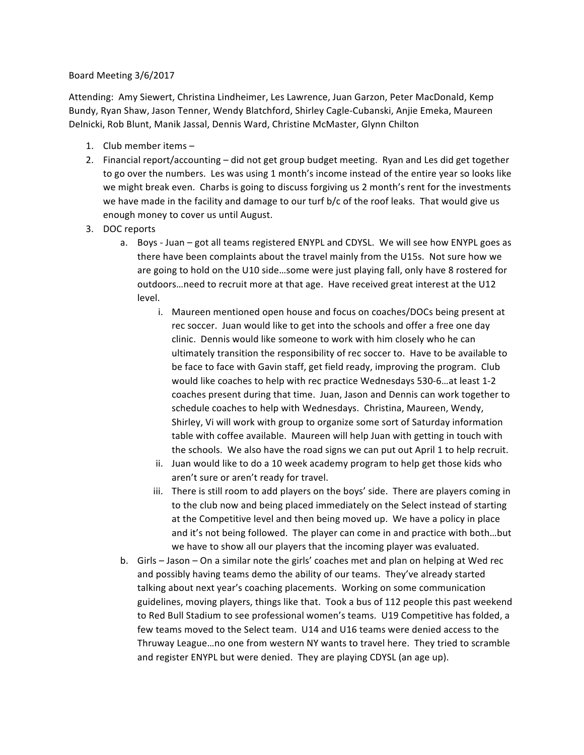## Board Meeting 3/6/2017

Attending: Amy Siewert, Christina Lindheimer, Les Lawrence, Juan Garzon, Peter MacDonald, Kemp Bundy, Ryan Shaw, Jason Tenner, Wendy Blatchford, Shirley Cagle-Cubanski, Anjie Emeka, Maureen Delnicki, Rob Blunt, Manik Jassal, Dennis Ward, Christine McMaster, Glynn Chilton

- 1. Club member items -
- 2. Financial report/accounting did not get group budget meeting. Ryan and Les did get together to go over the numbers. Les was using 1 month's income instead of the entire year so looks like we might break even. Charbs is going to discuss forgiving us 2 month's rent for the investments we have made in the facility and damage to our turf  $b/c$  of the roof leaks. That would give us enough money to cover us until August.
- 3. DOC reports
	- a. Boys Juan got all teams registered ENYPL and CDYSL. We will see how ENYPL goes as there have been complaints about the travel mainly from the U15s. Not sure how we are going to hold on the U10 side...some were just playing fall, only have 8 rostered for outdoors...need to recruit more at that age. Have received great interest at the U12 level.
		- i. Maureen mentioned open house and focus on coaches/DOCs being present at rec soccer. Juan would like to get into the schools and offer a free one day clinic. Dennis would like someone to work with him closely who he can ultimately transition the responsibility of rec soccer to. Have to be available to be face to face with Gavin staff, get field ready, improving the program. Club would like coaches to help with rec practice Wednesdays 530-6... at least 1-2 coaches present during that time. Juan, Jason and Dennis can work together to schedule coaches to help with Wednesdays. Christina, Maureen, Wendy, Shirley, Vi will work with group to organize some sort of Saturday information table with coffee available. Maureen will help Juan with getting in touch with the schools. We also have the road signs we can put out April 1 to help recruit.
		- ii. Juan would like to do a 10 week academy program to help get those kids who aren't sure or aren't ready for travel.
		- iii. There is still room to add players on the boys' side. There are players coming in to the club now and being placed immediately on the Select instead of starting at the Competitive level and then being moved up. We have a policy in place and it's not being followed. The player can come in and practice with both...but we have to show all our players that the incoming player was evaluated.
	- b. Girls Jason On a similar note the girls' coaches met and plan on helping at Wed rec and possibly having teams demo the ability of our teams. They've already started talking about next year's coaching placements. Working on some communication guidelines, moving players, things like that. Took a bus of 112 people this past weekend to Red Bull Stadium to see professional women's teams. U19 Competitive has folded, a few teams moved to the Select team. U14 and U16 teams were denied access to the Thruway League...no one from western NY wants to travel here. They tried to scramble and register ENYPL but were denied. They are playing CDYSL (an age up).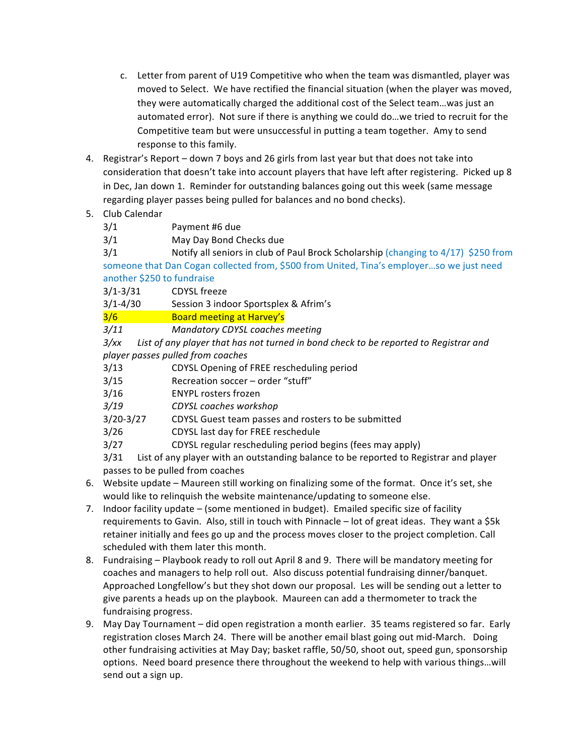- c. Letter from parent of U19 Competitive who when the team was dismantled, player was moved to Select. We have rectified the financial situation (when the player was moved, they were automatically charged the additional cost of the Select team...was just an automated error). Not sure if there is anything we could do...we tried to recruit for the Competitive team but were unsuccessful in putting a team together. Amy to send response to this family.
- 4. Registrar's Report  $-$  down 7 boys and 26 girls from last year but that does not take into consideration that doesn't take into account players that have left after registering. Picked up 8 in Dec, Jan down 1. Reminder for outstanding balances going out this week (same message regarding player passes being pulled for balances and no bond checks).

## 5. Club Calendar

- 3/1 Payment #6 due
- 3/1 May Day Bond Checks due

 $3/1$  Notify all seniors in club of Paul Brock Scholarship (changing to  $4/17$ ) \$250 from someone that Dan Cogan collected from, \$500 from United, Tina's employer...so we just need another \$250 to fundraise

- 3/1-3/31 CDYSL freeze
- 3/1-4/30 Session 3 indoor Sportsplex & Afrim's
- 3/6 **Board meeting at Harvey's**
- *3/11 Mandatory CDYSL coaches meeting*

*3/xx* List of any player that has not turned in bond check to be reported to Registrar and *player passes pulled from coaches*

- 3/13 CDYSL Opening of FREE rescheduling period
- 3/15 Recreation soccer order "stuff"
- 3/16 ENYPL rosters frozen
- 3/19 *CDYSL coaches workshop*
- 3/20-3/27 CDYSL Guest team passes and rosters to be submitted
- 3/26 CDYSL last day for FREE reschedule
- 3/27 CDYSL regular rescheduling period begins (fees may apply)

 $3/31$  List of any player with an outstanding balance to be reported to Registrar and player passes to be pulled from coaches

- 6. Website update Maureen still working on finalizing some of the format. Once it's set, she would like to relinquish the website maintenance/updating to someone else.
- 7. Indoor facility update (some mentioned in budget). Emailed specific size of facility requirements to Gavin. Also, still in touch with Pinnacle - lot of great ideas. They want a \$5k retainer initially and fees go up and the process moves closer to the project completion. Call scheduled with them later this month.
- 8. Fundraising Playbook ready to roll out April 8 and 9. There will be mandatory meeting for coaches and managers to help roll out. Also discuss potential fundraising dinner/banquet. Approached Longfellow's but they shot down our proposal. Les will be sending out a letter to give parents a heads up on the playbook. Maureen can add a thermometer to track the fundraising progress.
- 9. May Day Tournament did open registration a month earlier. 35 teams registered so far. Early registration closes March 24. There will be another email blast going out mid-March. Doing other fundraising activities at May Day; basket raffle, 50/50, shoot out, speed gun, sponsorship options. Need board presence there throughout the weekend to help with various things...will send out a sign up.